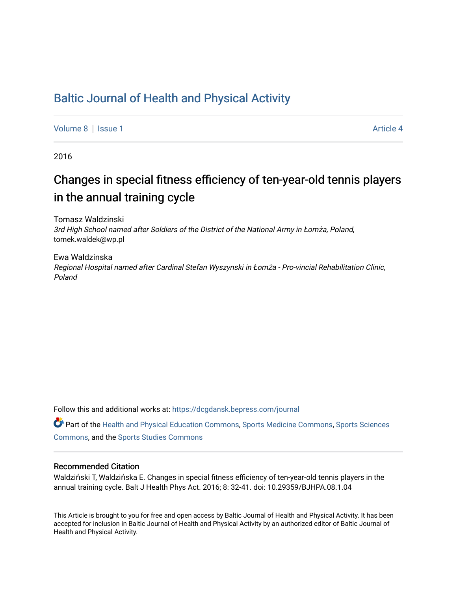# [Baltic Journal of Health and Physical Activity](https://dcgdansk.bepress.com/journal)

[Volume 8](https://dcgdansk.bepress.com/journal/vol8) | [Issue 1](https://dcgdansk.bepress.com/journal/vol8/iss1) Article 4

2016

# Changes in special fitness efficiency of ten-year-old tennis players in the annual training cycle

Tomasz Waldzinski 3rd High School named after Soldiers of the District of the National Army in Łomża, Poland, tomek.waldek@wp.pl

Ewa Waldzinska Regional Hospital named after Cardinal Stefan Wyszynski in Łomża - Pro-vincial Rehabilitation Clinic, Poland

Follow this and additional works at: [https://dcgdansk.bepress.com/journal](https://dcgdansk.bepress.com/journal?utm_source=dcgdansk.bepress.com%2Fjournal%2Fvol8%2Fiss1%2F4&utm_medium=PDF&utm_campaign=PDFCoverPages)

Part of the [Health and Physical Education Commons](http://network.bepress.com/hgg/discipline/1327?utm_source=dcgdansk.bepress.com%2Fjournal%2Fvol8%2Fiss1%2F4&utm_medium=PDF&utm_campaign=PDFCoverPages), [Sports Medicine Commons,](http://network.bepress.com/hgg/discipline/1331?utm_source=dcgdansk.bepress.com%2Fjournal%2Fvol8%2Fiss1%2F4&utm_medium=PDF&utm_campaign=PDFCoverPages) [Sports Sciences](http://network.bepress.com/hgg/discipline/759?utm_source=dcgdansk.bepress.com%2Fjournal%2Fvol8%2Fiss1%2F4&utm_medium=PDF&utm_campaign=PDFCoverPages) [Commons](http://network.bepress.com/hgg/discipline/759?utm_source=dcgdansk.bepress.com%2Fjournal%2Fvol8%2Fiss1%2F4&utm_medium=PDF&utm_campaign=PDFCoverPages), and the [Sports Studies Commons](http://network.bepress.com/hgg/discipline/1198?utm_source=dcgdansk.bepress.com%2Fjournal%2Fvol8%2Fiss1%2F4&utm_medium=PDF&utm_campaign=PDFCoverPages) 

#### Recommended Citation

Waldziński T, Waldzińska E. Changes in special fitness efficiency of ten-year-old tennis players in the annual training cycle. Balt J Health Phys Act. 2016; 8: 32-41. doi: 10.29359/BJHPA.08.1.04

This Article is brought to you for free and open access by Baltic Journal of Health and Physical Activity. It has been accepted for inclusion in Baltic Journal of Health and Physical Activity by an authorized editor of Baltic Journal of Health and Physical Activity.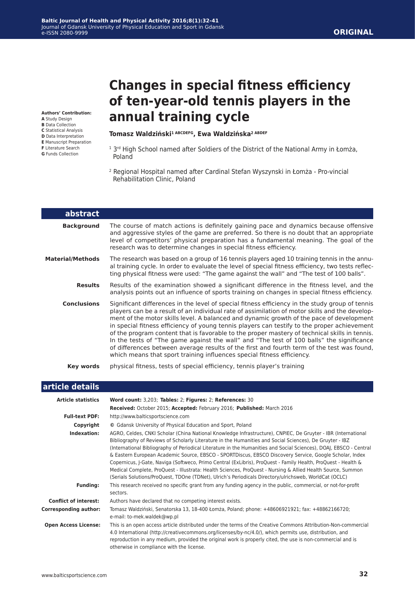#### **ORIGINAL**

**Authors' Contribution:**

- **A** Study Design **B** Data Collection
- **C** Statistical Analysis
- **D** Data Interpretation
- **E** Manuscript Preparation
- **F** Literature Search
- **G** Funds Collection

# **Changes in special fitness efficiency of ten-year-old tennis players in the annual training cycle**

#### **Tomasz Waldziński1 ABCDEFG, Ewa Waldzińska2 ABDEF**

- <sup>1</sup> 3<sup>rd</sup> High School named after Soldiers of the District of the National Army in Łomża, Poland
- <sup>2</sup> Regional Hospital named after Cardinal Stefan Wyszynski in Łomża Pro-vincial Rehabilitation Clinic, Poland

| <b>abstract</b>         |                                                                                                                                                                                                                                                                                                                                                                                                                                                                                                                                                                                                                                                                                                                                                                   |
|-------------------------|-------------------------------------------------------------------------------------------------------------------------------------------------------------------------------------------------------------------------------------------------------------------------------------------------------------------------------------------------------------------------------------------------------------------------------------------------------------------------------------------------------------------------------------------------------------------------------------------------------------------------------------------------------------------------------------------------------------------------------------------------------------------|
| <b>Background</b>       | The course of match actions is definitely gaining pace and dynamics because offensive<br>and aggressive styles of the game are preferred. So there is no doubt that an appropriate<br>level of competitors' physical preparation has a fundamental meaning. The goal of the<br>research was to determine changes in special fitness efficiency.                                                                                                                                                                                                                                                                                                                                                                                                                   |
| <b>Material/Methods</b> | The research was based on a group of 16 tennis players aged 10 training tennis in the annu-<br>al training cycle. In order to evaluate the level of special fitness efficiency, two tests reflec-<br>ting physical fitness were used: "The game against the wall" and "The test of 100 balls".                                                                                                                                                                                                                                                                                                                                                                                                                                                                    |
| <b>Results</b>          | Results of the examination showed a significant difference in the fitness level, and the<br>analysis points out an influence of sports training on changes in special fitness efficiency.                                                                                                                                                                                                                                                                                                                                                                                                                                                                                                                                                                         |
| <b>Conclusions</b>      | Significant differences in the level of special fitness efficiency in the study group of tennis<br>players can be a result of an individual rate of assimilation of motor skills and the develop-<br>ment of the motor skills level. A balanced and dynamic growth of the pace of development<br>in special fitness efficiency of young tennis players can testify to the proper achievement<br>of the program content that is favorable to the proper mastery of technical skills in tennis.<br>In the tests of "The game against the wall" and "The test of 100 balls" the significance<br>of differences between average results of the first and fourth term of the test was found,<br>which means that sport training influences special fitness efficiency. |
| Key words               | physical fitness, tests of special efficiency, tennis player's training                                                                                                                                                                                                                                                                                                                                                                                                                                                                                                                                                                                                                                                                                           |

#### **article details**

| <b>Article statistics</b>    | Word count: 3,203; Tables: 2; Figures: 2; References: 30                                                                                                                                                                                                                                                                                                                                                                                                                                                                                                                                                                                                                                                                                                                                             |
|------------------------------|------------------------------------------------------------------------------------------------------------------------------------------------------------------------------------------------------------------------------------------------------------------------------------------------------------------------------------------------------------------------------------------------------------------------------------------------------------------------------------------------------------------------------------------------------------------------------------------------------------------------------------------------------------------------------------------------------------------------------------------------------------------------------------------------------|
|                              | Received: October 2015; Accepted: February 2016; Published: March 2016                                                                                                                                                                                                                                                                                                                                                                                                                                                                                                                                                                                                                                                                                                                               |
| <b>Full-text PDF:</b>        | http://www.balticsportscience.com                                                                                                                                                                                                                                                                                                                                                                                                                                                                                                                                                                                                                                                                                                                                                                    |
| Copyright                    | © Gdansk University of Physical Education and Sport, Poland                                                                                                                                                                                                                                                                                                                                                                                                                                                                                                                                                                                                                                                                                                                                          |
| Indexation:                  | AGRO, Celdes, CNKI Scholar (China National Knowledge Infrastructure), CNPIEC, De Gruyter - IBR (International<br>Bibliography of Reviews of Scholarly Literature in the Humanities and Social Sciences), De Gruyter - IBZ<br>(International Bibliography of Periodical Literature in the Humanities and Social Sciences), DOAJ, EBSCO - Central<br>& Eastern European Academic Source, EBSCO - SPORTDiscus, EBSCO Discovery Service, Google Scholar, Index<br>Copernicus, J-Gate, Naviga (Softweco, Primo Central (ExLibris), ProQuest - Family Health, ProQuest - Health &<br>Medical Complete, ProQuest - Illustrata: Health Sciences, ProQuest - Nursing & Allied Health Source, Summon<br>(Serials Solutions/ProQuest, TDOne (TDNet), Ulrich's Periodicals Directory/ulrichsweb, WorldCat (OCLC) |
| <b>Funding:</b>              | This research received no specific grant from any funding agency in the public, commercial, or not-for-profit<br>sectors.                                                                                                                                                                                                                                                                                                                                                                                                                                                                                                                                                                                                                                                                            |
| <b>Conflict of interest:</b> | Authors have declared that no competing interest exists.                                                                                                                                                                                                                                                                                                                                                                                                                                                                                                                                                                                                                                                                                                                                             |
| <b>Corresponding author:</b> | Tomasz Waldziński, Senatorska 13, 18-400 Łomża, Poland; phone: +48606921921; fax: +48862166720;<br>e-mail: to-mek.waldek@wp.pl                                                                                                                                                                                                                                                                                                                                                                                                                                                                                                                                                                                                                                                                       |
| <b>Open Access License:</b>  | This is an open access article distributed under the terms of the Creative Commons Attribution-Non-commercial<br>4.0 International (http://creativecommons.org/licenses/by-nc/4.0/), which permits use, distribution, and<br>reproduction in any medium, provided the original work is properly cited, the use is non-commercial and is<br>otherwise in compliance with the license.                                                                                                                                                                                                                                                                                                                                                                                                                 |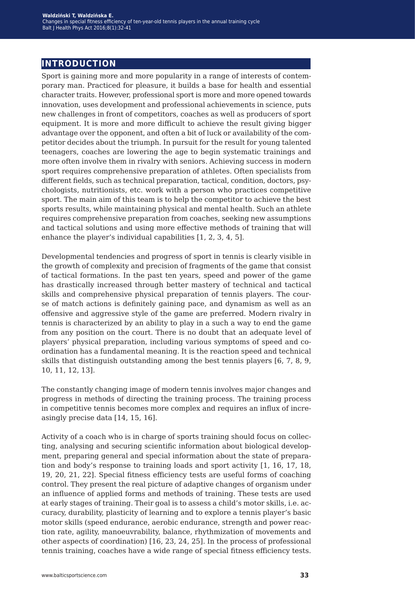# **introduction**

Sport is gaining more and more popularity in a range of interests of contemporary man. Practiced for pleasure, it builds a base for health and essential character traits. However, professional sport is more and more opened towards innovation, uses development and professional achievements in science, puts new challenges in front of competitors, coaches as well as producers of sport equipment. It is more and more difficult to achieve the result giving bigger advantage over the opponent, and often a bit of luck or availability of the competitor decides about the triumph. In pursuit for the result for young talented teenagers, coaches are lowering the age to begin systematic trainings and more often involve them in rivalry with seniors. Achieving success in modern sport requires comprehensive preparation of athletes. Often specialists from different fields, such as technical preparation, tactical, condition, doctors, psychologists, nutritionists, etc. work with a person who practices competitive sport. The main aim of this team is to help the competitor to achieve the best sports results, while maintaining physical and mental health. Such an athlete requires comprehensive preparation from coaches, seeking new assumptions and tactical solutions and using more effective methods of training that will enhance the player's individual capabilities [1, 2, 3, 4, 5].

Developmental tendencies and progress of sport in tennis is clearly visible in the growth of complexity and precision of fragments of the game that consist of tactical formations. In the past ten years, speed and power of the game has drastically increased through better mastery of technical and tactical skills and comprehensive physical preparation of tennis players. The course of match actions is definitely gaining pace, and dynamism as well as an offensive and aggressive style of the game are preferred. Modern rivalry in tennis is characterized by an ability to play in a such a way to end the game from any position on the court. There is no doubt that an adequate level of players' physical preparation, including various symptoms of speed and coordination has a fundamental meaning. It is the reaction speed and technical skills that distinguish outstanding among the best tennis players [6, 7, 8, 9, 10, 11, 12, 13].

The constantly changing image of modern tennis involves major changes and progress in methods of directing the training process. The training process in competitive tennis becomes more complex and requires an influx of increasingly precise data [14, 15, 16].

Activity of a coach who is in charge of sports training should focus on collecting, analysing and securing scientific information about biological development, preparing general and special information about the state of preparation and body's response to training loads and sport activity [1, 16, 17, 18, 19, 20, 21, 22]. Special fitness efficiency tests are useful forms of coaching control. They present the real picture of adaptive changes of organism under an influence of applied forms and methods of training. These tests are used at early stages of training. Their goal is to assess a child's motor skills, i.e. accuracy, durability, plasticity of learning and to explore a tennis player's basic motor skills (speed endurance, aerobic endurance, strength and power reaction rate, agility, manoeuvrability, balance, rhythmization of movements and other aspects of coordination) [16, 23, 24, 25]. In the process of professional tennis training, coaches have a wide range of special fitness efficiency tests.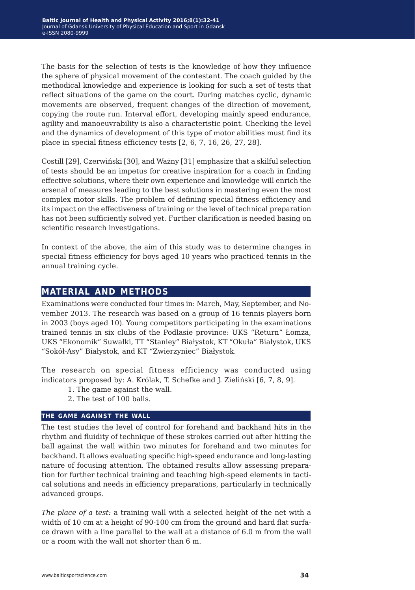The basis for the selection of tests is the knowledge of how they influence the sphere of physical movement of the contestant. The coach guided by the methodical knowledge and experience is looking for such a set of tests that reflect situations of the game on the court. During matches cyclic, dynamic movements are observed, frequent changes of the direction of movement, copying the route run. Interval effort, developing mainly speed endurance, agility and manoeuvrability is also a characteristic point. Checking the level and the dynamics of development of this type of motor abilities must find its place in special fitness efficiency tests [2, 6, 7, 16, 26, 27, 28].

Costill [29], Czerwiński [30], and Ważny [31] emphasize that a skilful selection of tests should be an impetus for creative inspiration for a coach in finding effective solutions, where their own experience and knowledge will enrich the arsenal of measures leading to the best solutions in mastering even the most complex motor skills. The problem of defining special fitness efficiency and its impact on the effectiveness of training or the level of technical preparation has not been sufficiently solved yet. Further clarification is needed basing on scientific research investigations.

In context of the above, the aim of this study was to determine changes in special fitness efficiency for boys aged 10 years who practiced tennis in the annual training cycle.

## **material and methods**

Examinations were conducted four times in: March, May, September, and November 2013. The research was based on a group of 16 tennis players born in 2003 (boys aged 10). Young competitors participating in the examinations trained tennis in six clubs of the Podlasie province: UKS "Return" Łomża, UKS "Ekonomik" Suwałki, TT "Stanley" Białystok, KT "Okuła" Białystok, UKS "Sokół-Asy" Białystok, and KT "Zwierzyniec" Białystok.

The research on special fitness efficiency was conducted using indicators proposed by: A. Królak, T. Schefke and J. Zieliński [6, 7, 8, 9].

- 1. The game against the wall.
- 2. The test of 100 balls.

#### **the game against the wall**

The test studies the level of control for forehand and backhand hits in the rhythm and fluidity of technique of these strokes carried out after hitting the ball against the wall within two minutes for forehand and two minutes for backhand. It allows evaluating specific high-speed endurance and long-lasting nature of focusing attention. The obtained results allow assessing preparation for further technical training and teaching high-speed elements in tactical solutions and needs in efficiency preparations, particularly in technically advanced groups.

*The place of a test:* a training wall with a selected height of the net with a width of 10 cm at a height of 90-100 cm from the ground and hard flat surface drawn with a line parallel to the wall at a distance of 6.0 m from the wall or a room with the wall not shorter than 6 m.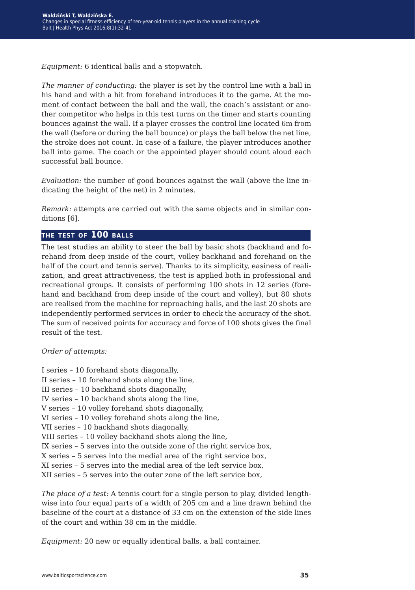*Equipment:* 6 identical balls and a stopwatch.

*The manner of conducting:* the player is set by the control line with a ball in his hand and with a hit from forehand introduces it to the game. At the moment of contact between the ball and the wall, the coach's assistant or another competitor who helps in this test turns on the timer and starts counting bounces against the wall. If a player crosses the control line located 6m from the wall (before or during the ball bounce) or plays the ball below the net line, the stroke does not count. In case of a failure, the player introduces another ball into game. The coach or the appointed player should count aloud each successful ball bounce.

*Evaluation:* the number of good bounces against the wall (above the line indicating the height of the net) in 2 minutes.

*Remark:* attempts are carried out with the same objects and in similar conditions [6].

#### **the test of 100 balls**

The test studies an ability to steer the ball by basic shots (backhand and forehand from deep inside of the court, volley backhand and forehand on the half of the court and tennis serve). Thanks to its simplicity, easiness of realization, and great attractiveness, the test is applied both in professional and recreational groups. It consists of performing 100 shots in 12 series (forehand and backhand from deep inside of the court and volley), but 80 shots are realised from the machine for reproaching balls, and the last 20 shots are independently performed services in order to check the accuracy of the shot. The sum of received points for accuracy and force of 100 shots gives the final result of the test.

*Order of attempts:*

I series – 10 forehand shots diagonally,

II series – 10 forehand shots along the line,

III series – 10 backhand shots diagonally,

IV series – 10 backhand shots along the line,

V series – 10 volley forehand shots diagonally,

VI series – 10 volley forehand shots along the line,

VII series – 10 backhand shots diagonally,

VIII series – 10 volley backhand shots along the line,

IX series – 5 serves into the outside zone of the right service box,

- X series 5 serves into the medial area of the right service box,
- XI series 5 serves into the medial area of the left service box,
- XII series 5 serves into the outer zone of the left service box,

*The place of a test:* A tennis court for a single person to play, divided lengthwise into four equal parts of a width of 205 cm and a line drawn behind the baseline of the court at a distance of 33 cm on the extension of the side lines of the court and within 38 cm in the middle.

*Equipment:* 20 new or equally identical balls, a ball container.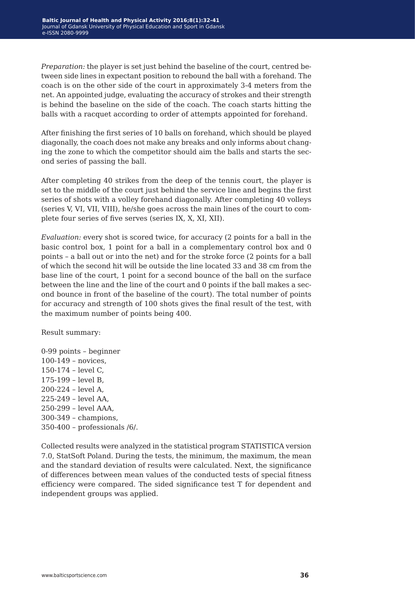*Preparation:* the player is set just behind the baseline of the court, centred between side lines in expectant position to rebound the ball with a forehand. The coach is on the other side of the court in approximately 3-4 meters from the net. An appointed judge, evaluating the accuracy of strokes and their strength is behind the baseline on the side of the coach. The coach starts hitting the balls with a racquet according to order of attempts appointed for forehand.

After finishing the first series of 10 balls on forehand, which should be played diagonally, the coach does not make any breaks and only informs about changing the zone to which the competitor should aim the balls and starts the second series of passing the ball.

After completing 40 strikes from the deep of the tennis court, the player is set to the middle of the court just behind the service line and begins the first series of shots with a volley forehand diagonally. After completing 40 volleys (series V, VI, VII, VIII), he/she goes across the main lines of the court to complete four series of five serves (series IX, X, XI, XII).

*Evaluation:* every shot is scored twice, for accuracy (2 points for a ball in the basic control box, 1 point for a ball in a complementary control box and 0 points – a ball out or into the net) and for the stroke force (2 points for a ball of which the second hit will be outside the line located 33 and 38 cm from the base line of the court, 1 point for a second bounce of the ball on the surface between the line and the line of the court and 0 points if the ball makes a second bounce in front of the baseline of the court). The total number of points for accuracy and strength of 100 shots gives the final result of the test, with the maximum number of points being 400.

Result summary:

0-99 points – beginner 100-149 – novices, 150-174 – level C, 175-199 – level B, 200-224 – level A, 225-249 – level AA, 250-299 – level AAA, 300-349 – champions, 350-400 – professionals /6/.

Collected results were analyzed in the statistical program STATISTICA version 7.0, StatSoft Poland. During the tests, the minimum, the maximum, the mean and the standard deviation of results were calculated. Next, the significance of differences between mean values of the conducted tests of special fitness efficiency were compared. The sided significance test T for dependent and independent groups was applied.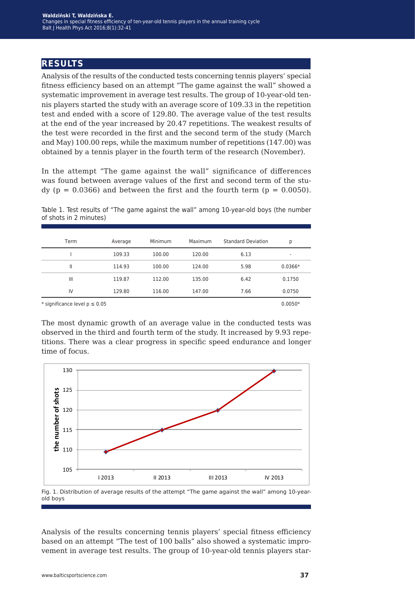# **results**

Analysis of the results of the conducted tests concerning tennis players' special fitness efficiency based on an attempt "The game against the wall" showed a systematic improvement in average test results. The group of 10-year-old tennis players started the study with an average score of 109.33 in the repetition test and ended with a score of 129.80. The average value of the test results at the end of the year increased by 20.47 repetitions. The weakest results of the test were recorded in the first and the second term of the study (March and May) 100.00 reps, while the maximum number of repetitions (147.00) was obtained by a tennis player in the fourth term of the research (November).

In the attempt "The game against the wall" significance of differences was found between average values of the first and second term of the stu $dy$  (p = 0.0366) and between the first and the fourth term (p = 0.0050).

| Table 1. Test results of "The game against the wall" among 10-year-old boys (the number |  |  |  |  |
|-----------------------------------------------------------------------------------------|--|--|--|--|
| of shots in 2 minutes)                                                                  |  |  |  |  |

| Term                              | Average | Minimum | Maximum | <b>Standard Deviation</b> | p         |
|-----------------------------------|---------|---------|---------|---------------------------|-----------|
|                                   | 109.33  | 100.00  | 120.00  | 6.13                      | ۰         |
| Ш                                 | 114.93  | 100.00  | 124.00  | 5.98                      | $0.0366*$ |
| Ш                                 | 119.87  | 112.00  | 135.00  | 6.42                      | 0.1750    |
| IV                                | 129.80  | 116.00  | 147.00  | 7.66                      | 0.0750    |
| * significance level $p \le 0.05$ |         |         |         |                           | $0.0050*$ |

The most dynamic growth of an average value in the conducted tests was observed in the third and fourth term of the study. It increased by 9.93 repetitions. There was a clear progress in specific speed endurance and longer time of focus.



Fig. 1. Distribution of average results of the attempt "The game against the wall" among 10-yearold boys

Analysis of the results concerning tennis players' special fitness efficiency based on an attempt "The test of 100 balls" also showed a systematic improvement in average test results. The group of 10-year-old tennis players star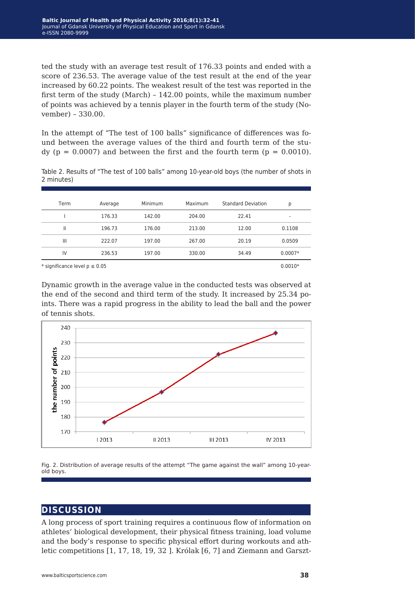ted the study with an average test result of 176.33 points and ended with a score of 236.53. The average value of the test result at the end of the year increased by 60.22 points. The weakest result of the test was reported in the first term of the study (March) – 142.00 points, while the maximum number of points was achieved by a tennis player in the fourth term of the study (November) – 330.00.

In the attempt of "The test of 100 balls" significance of differences was found between the average values of the third and fourth term of the study ( $p = 0.0007$ ) and between the first and the fourth term ( $p = 0.0010$ ).

| Table 2. Results of "The test of 100 balls" among 10-year-old boys (the number of shots in |  |  |  |  |
|--------------------------------------------------------------------------------------------|--|--|--|--|
| 2 minutes)                                                                                 |  |  |  |  |

| Term                              | Average | Minimum | Maximum | <b>Standard Deviation</b> | р         |
|-----------------------------------|---------|---------|---------|---------------------------|-----------|
|                                   | 176.33  | 142.00  | 204.00  | 22.41                     | ۰         |
| Ш                                 | 196.73  | 176.00  | 213.00  | 12.00                     | 0.1108    |
| $\mathbf{III}$                    | 222.07  | 197.00  | 267.00  | 20.19                     | 0.0509    |
| IV                                | 236.53  | 197.00  | 330.00  | 34.49                     | $0.0007*$ |
| * significance level $p \le 0.05$ |         |         |         |                           |           |

Dynamic growth in the average value in the conducted tests was observed at the end of the second and third term of the study. It increased by 25.34 points. There was a rapid progress in the ability to lead the ball and the power of tennis shots.



Fig. 2. Distribution of average results of the attempt "The game against the wall" among 10-yearold boys.

# **discussion**

A long process of sport training requires a continuous flow of information on athletes' biological development, their physical fitness training, load volume and the body's response to specific physical effort during workouts and athletic competitions [1, 17, 18, 19, 32 ]. Królak [6, 7] and Ziemann and Garszt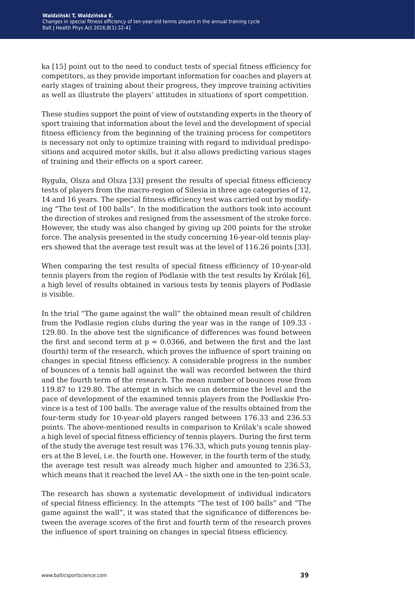ka [15] point out to the need to conduct tests of special fitness efficiency for competitors, as they provide important information for coaches and players at early stages of training about their progress, they improve training activities as well as illustrate the players' attitudes in situations of sport competition.

These studies support the point of view of outstanding experts in the theory of sport training that information about the level and the development of special fitness efficiency from the beginning of the training process for competitors is necessary not only to optimize training with regard to individual predispositions and acquired motor skills, but it also allows predicting various stages of training and their effects on a sport career.

Ryguła, Olsza and Olsza [33] present the results of special fitness efficiency tests of players from the macro-region of Silesia in three age categories of 12, 14 and 16 years. The special fitness efficiency test was carried out by modifying "The test of 100 balls". In the modification the authors took into account the direction of strokes and resigned from the assessment of the stroke force. However, the study was also changed by giving up 200 points for the stroke force. The analysis presented in the study concerning 16-year-old tennis players showed that the average test result was at the level of 116.26 points [33].

When comparing the test results of special fitness efficiency of 10-year-old tennis players from the region of Podlasie with the test results by Królak [6], a high level of results obtained in various tests by tennis players of Podlasie is visible.

In the trial "The game against the wall" the obtained mean result of children from the Podlasie region clubs during the year was in the range of 109.33 - 129.80. In the above test the significance of differences was found between the first and second term at  $p = 0.0366$ , and between the first and the last (fourth) term of the research, which proves the influence of sport training on changes in special fitness efficiency. A considerable progress in the number of bounces of a tennis ball against the wall was recorded between the third and the fourth term of the research. The mean number of bounces rose from 119.87 to 129.80. The attempt in which we can determine the level and the pace of development of the examined tennis players from the Podlaskie Province is a test of 100 balls. The average value of the results obtained from the four-term study for 10-year-old players ranged between 176.33 and 236.53 points. The above-mentioned results in comparison to Królak's scale showed a high level of special fitness efficiency of tennis players. During the first term of the study the average test result was 176.33, which puts young tennis players at the B level, i.e. the fourth one. However, in the fourth term of the study, the average test result was already much higher and amounted to 236.53, which means that it reached the level AA – the sixth one in the ten-point scale.

The research has shown a systematic development of individual indicators of special fitness efficiency. In the attempts "The test of 100 balls" and "The game against the wall", it was stated that the significance of differences between the average scores of the first and fourth term of the research proves the influence of sport training on changes in special fitness efficiency.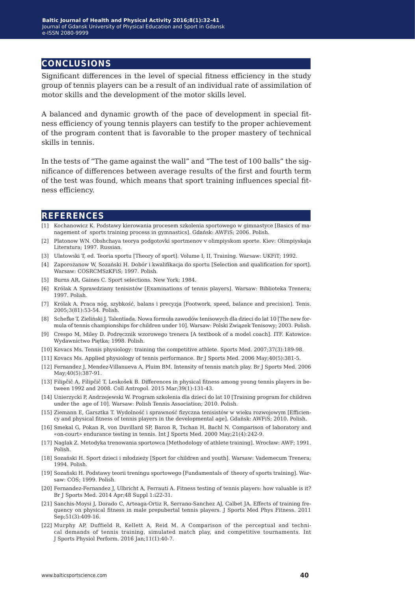### **conclusions**

Significant differences in the level of special fitness efficiency in the study group of tennis players can be a result of an individual rate of assimilation of motor skills and the development of the motor skills level.

A balanced and dynamic growth of the pace of development in special fitness efficiency of young tennis players can testify to the proper achievement of the program content that is favorable to the proper mastery of technical skills in tennis.

In the tests of "The game against the wall" and "The test of 100 balls" the significance of differences between average results of the first and fourth term of the test was found, which means that sport training influences special fitness efficiency.

### **references**

- [1] Kochanowicz K. Podstawy kierowania procesem szkolenia sportowego w gimnastyce [Basics of management of sports training process in gymnastics]. Gdańsk: AWFiS; 2006. Polish.
- [2] Platonow WN. Obshchaya teorya podgotovki sportmenov v olimpiyskom sporte. Kiev: Olimpiyskaja Literatura; 1997. Russian.
- [3] Ulatowski T, ed. Teoria sportu [Theory of sport]. Volume I, II, Training. Warsaw: UKFiT; 1992.
- [4] Zaporożanow W, Sozański H. Dobór i kwalifikacja do sportu [Selection and qualification for sport]. Warsaw: COSRCMSzKFiS; 1997. Polish.
- [5] Burns AR, Gaines C. Sport selections. New York; 1984.
- [6] Królak A Sprawdziany tenisistów [Examinations of tennis players]. Warsaw: Biblioteka Trenera; 1997. Polish.
- [7] Królak A. Praca nóg, szybkość, balans i precyzja [Footwork, speed, balance and precision]. Tenis. 2005;3(81):53-54. Polish.
- [8] Schefke T, Zieliński J. Talentiada. Nowa formuła zawodów tenisowych dla dzieci do lat 10 [The new formula of tennis championships for children under 10]. Warsaw: Polski Związek Tenisowy; 2003. Polish.
- [9] Crespo M, Miley D. Podręcznik wzorowego trenera [A textbook of a model coach]. ITF. Katowice: Wydawnictwo Piętka; 1998. Polish.
- [10] Kovacs Ms. Tennis physiology: training the competitive athlete. Sports Med. 2007;37(3):189-98.
- [11] Kovacs Ms. Applied physiology of tennis performance. Br J Sports Med. 2006 May;40(5):381-5.
- [12] Fernandez J, Mendez-Villanueva A, Pluim BM. Intensity of tennis match play. Br J Sports Med. 2006 May;40(5):387-91.
- [13] Filipčič A, Filipčič T, Leskošek B. Differences in physical fitness among young tennis players in between 1992 and 2008. Coll Antropol. 2015 Mar;39(1):131-43.
- [14] Unierzycki P, Andrzejewski W. Program szkolenia dla dzieci do lat 10 [Training program for children under the age of 10]. Warsaw: Polish Tennis Association; 2010. Polish.
- [15] Ziemann E, Garsztka T. Wydolność i sprawność fizyczna tenisistów w wieku rozwojowym [Efficiency and physical fitness of tennis players in the developmental age]. Gdańsk: AWFiS; 2010. Polish.
- [16] Smekal G, Pokan R, von Duvillard SP, Baron R, Tschan H, Bachl N. Comparison of laboratory and «on-court» endurance testing in tennis. Int J Sports Med. 2000 May;21(4):242-9.
- [17] Naglak Z. Metodyka trenowania sportowca [Methodology of athlete training]. Wrocław: AWF; 1991. Polish.
- [18] Sozański H. Sport dzieci i młodzieży [Sport for children and youth]. Warsaw: Vademecum Trenera; 1994. Polish.
- [19] Sozański H. Podstawy teorii treningu sportowego [Fundamentals of theory of sports training]. Warsaw: COS; 1999. Polish.
- [20] Fernandez-Fernandez J, Ulbricht A, Ferrauti A. Fitness testing of tennis players: how valuable is it? Br J Sports Med. 2014 Apr;48 Suppl 1:i22-31.
- [21] Sanchis-Moysi J, Dorado C, Arteaga-Ortiz R, Serrano-Sanchez AJ, Calbet JA. Effects of training frequency on physical fitness in male prepubertal tennis players. J Sports Med Phys Fitness. 2011 Sep;51(3):409-16.
- [22] Murphy AP, Duffield R, Kellett A, Reid M. A Comparison of the perceptual and technical demands of tennis training, simulated match play, and competitive tournaments. Int J Sports Physiol Perform. 2016 Jan;11(1):40-7.